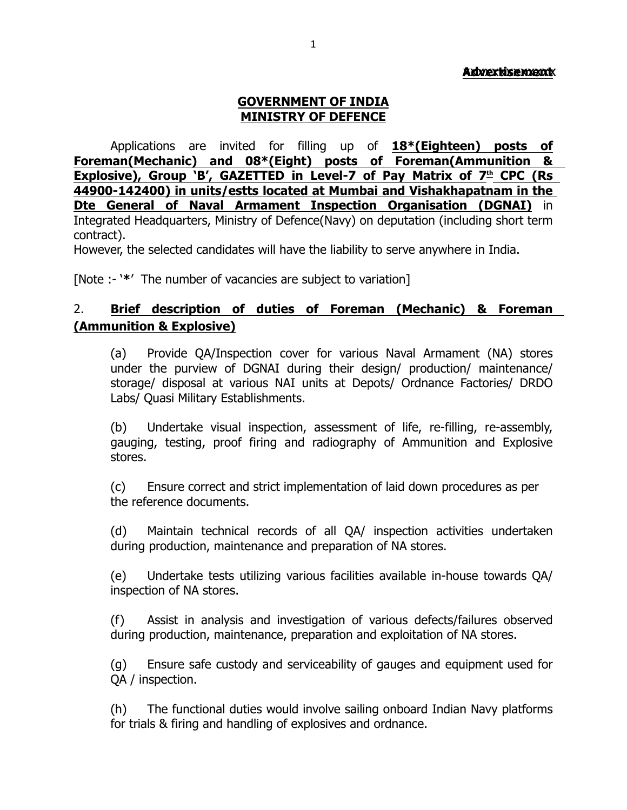### **Advertisement**

### **GOVERNMENT OF INDIA MINISTRY OF DEFENCE**

Applications are invited for filling up of **18\*(Eighteen) posts of Foreman(Mechanic) and 08\*(Eight) posts of Foreman(Ammunition & Explosive), Group `B', GAZETTED in Level-7 of Pay Matrix of 7<sup>th</sup> CPC (Rs 44900-142400) in units/estts located at Mumbai and Vishakhapatnam in the Dte General of Naval Armament Inspection Organisation (DGNAI)** in Integrated Headquarters, Ministry of Defence(Navy) on deputation (including short term contract).

However, the selected candidates will have the liability to serve anywhere in India.

[Note :- '**\***' The number of vacancies are subject to variation]

### 2. **Brief description of duties of Foreman (Mechanic) & Foreman (Ammunition & Explosive)**

(a) Provide QA/Inspection cover for various Naval Armament (NA) stores under the purview of DGNAI during their design/ production/ maintenance/ storage/ disposal at various NAI units at Depots/ Ordnance Factories/ DRDO Labs/ Quasi Military Establishments.

(b) Undertake visual inspection, assessment of life, re-filling, re-assembly, gauging, testing, proof firing and radiography of Ammunition and Explosive stores.

(c) Ensure correct and strict implementation of laid down procedures as per the reference documents.

(d) Maintain technical records of all QA/ inspection activities undertaken during production, maintenance and preparation of NA stores.

(e) Undertake tests utilizing various facilities available in-house towards QA/ inspection of NA stores.

(f) Assist in analysis and investigation of various defects/failures observed during production, maintenance, preparation and exploitation of NA stores.

(g) Ensure safe custody and serviceability of gauges and equipment used for QA / inspection.

(h) The functional duties would involve sailing onboard Indian Navy platforms for trials & firing and handling of explosives and ordnance.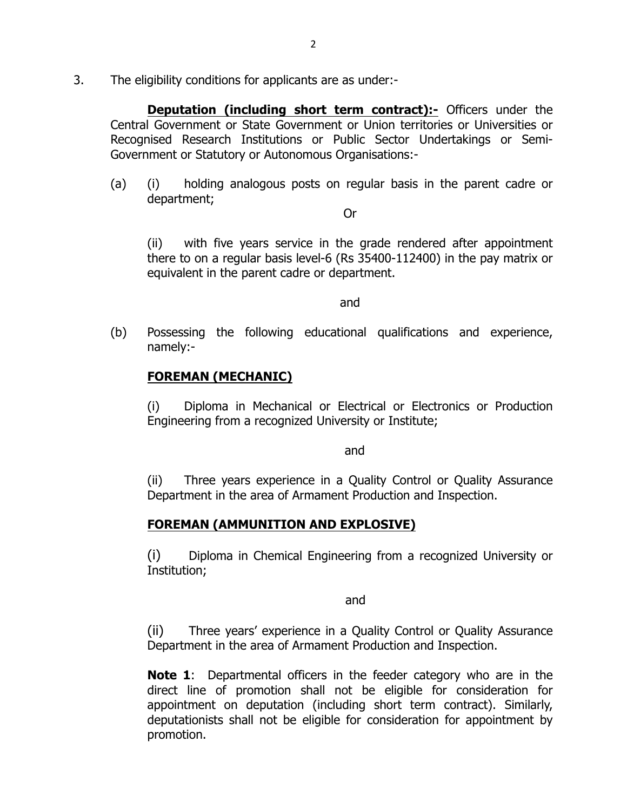3. The eligibility conditions for applicants are as under:-

**Deputation (including short term contract):-** Officers under the Central Government or State Government or Union territories or Universities or Recognised Research Institutions or Public Sector Undertakings or Semi-Government or Statutory or Autonomous Organisations:-

(a) (i) holding analogous posts on regular basis in the parent cadre or department;

Or

(ii) with five years service in the grade rendered after appointment there to on a regular basis level-6 (Rs 35400-112400) in the pay matrix or equivalent in the parent cadre or department.

and

(b) Possessing the following educational qualifications and experience, namely:-

### **FOREMAN (MECHANIC)**

(i) Diploma in Mechanical or Electrical or Electronics or Production Engineering from a recognized University or Institute;

and the contract of the contract of the contract of the contract of the contract of the contract of the contract of the contract of the contract of the contract of the contract of the contract of the contract of the contra

(ii) Three years experience in a Quality Control or Quality Assurance Department in the area of Armament Production and Inspection.

## **FOREMAN (AMMUNITION AND EXPLOSIVE)**

(i) Diploma in Chemical Engineering from a recognized University or Institution;

and the contract of the contract of the contract of the contract of the contract of the contract of the contract of the contract of the contract of the contract of the contract of the contract of the contract of the contra

(ii) Three years' experience in a Quality Control or Quality Assurance Department in the area of Armament Production and Inspection.

**Note 1**: Departmental officers in the feeder category who are in the direct line of promotion shall not be eligible for consideration for appointment on deputation (including short term contract). Similarly, deputationists shall not be eligible for consideration for appointment by promotion.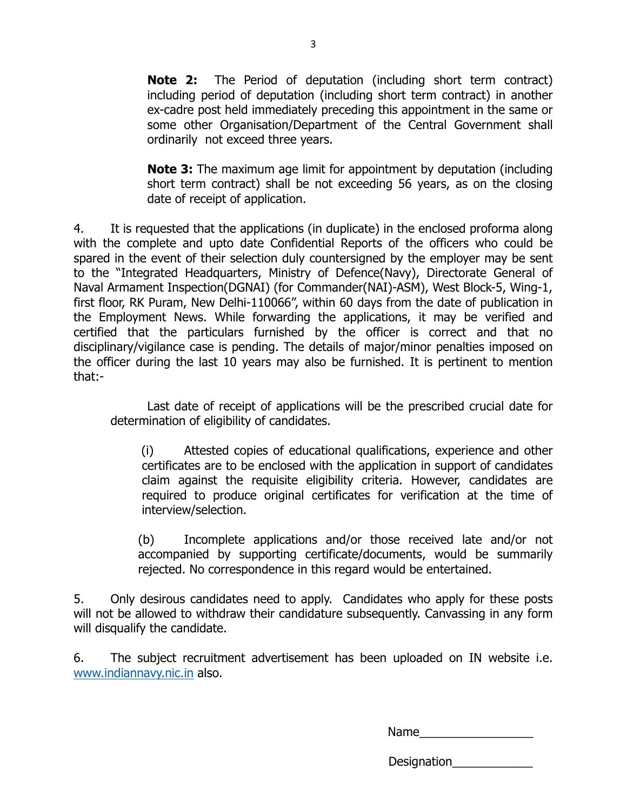**Note 2:** The Period of deputation (including short term contract) including period of deputation (including short term contract) in another ex-cadre post held immediately preceding this appointment in the same or some other Organisation/Department of the Central Government shall ordinarily not exceed three years.

**Note 3:** The maximum age limit for appointment by deputation (including short term contract) shall be not exceeding 56 years, as on the closing date of receipt of application.

4. It is requested that the applications (in duplicate) in the enclosed proforma along with the complete and upto date Confidential Reports of the officers who could be spared in the event of their selection duly countersigned by the employer may be sent to the "Integrated Headquarters, Ministry of Defence(Navy), Directorate General of Naval Armament Inspection(DGNAI) (for Commander(NAI)-ASM), West Block-5, Wing-1, first floor, RK Puram, New Delhi-110066", within 60 days from the date of publication in the Employment News. While forwarding the applications, it may be verified and certified that the particulars furnished by the officer is correct and that no disciplinary/vigilance case is pending. The details of major/minor penalties imposed on the officer during the last 10 years may also be furnished. It is pertinent to mention that:-

Last date of receipt of applications will be the prescribed crucial date for determination of eligibility of candidates.

(i) Attested copies of educational qualifications, experience and other certificates are to be enclosed with the application in support of candidates claim against the requisite eligibility criteria. However, candidates are required to produce original certificates for verification at the time of interview/selection.

(b) Incomplete applications and/or those received late and/or not accompanied by supporting certificate/documents, would be summarily rejected. No correspondence in this regard would be entertained.

5. Only desirous candidates need to apply. Candidates who apply for these posts will not be allowed to withdraw their candidature subsequently. Canvassing in any form will disqualify the candidate.

6. The subject recruitment advertisement has been uploaded on IN website i.e. www.indiannavy.nic.in also.

Name

Designation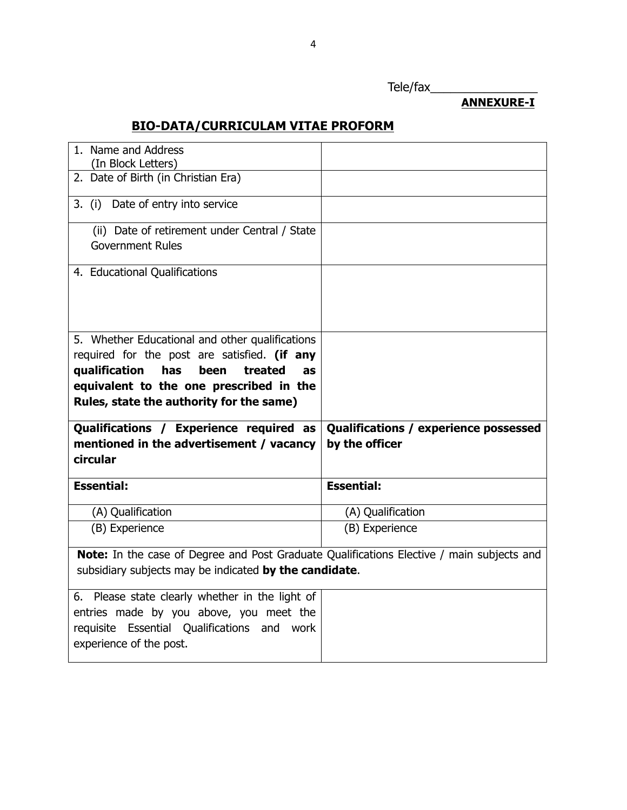# Tele/fax\_\_\_\_\_\_\_\_\_\_\_\_\_\_\_\_

# **BIO-DATA/CURRICULAM VITAE PROFORM**

| 1. Name and Address<br>(In Block Letters)                                                                                                                                                   |                                                         |
|---------------------------------------------------------------------------------------------------------------------------------------------------------------------------------------------|---------------------------------------------------------|
| 2. Date of Birth (in Christian Era)                                                                                                                                                         |                                                         |
| 3. (i) Date of entry into service                                                                                                                                                           |                                                         |
| (ii) Date of retirement under Central / State<br><b>Government Rules</b>                                                                                                                    |                                                         |
| 4. Educational Qualifications                                                                                                                                                               |                                                         |
| 5. Whether Educational and other qualifications<br>required for the post are satisfied. (if any<br>qualification<br>treated<br>has<br>been<br>as<br>equivalent to the one prescribed in the |                                                         |
| Rules, state the authority for the same)                                                                                                                                                    |                                                         |
| Qualifications / Experience required as<br>mentioned in the advertisement / vacancy<br>circular                                                                                             | Qualifications / experience possessed<br>by the officer |
| <b>Essential:</b>                                                                                                                                                                           | <b>Essential:</b>                                       |
| (A) Qualification                                                                                                                                                                           | (A) Qualification                                       |
| (B) Experience                                                                                                                                                                              | (B) Experience                                          |
| Note: In the case of Degree and Post Graduate Qualifications Elective / main subjects and<br>subsidiary subjects may be indicated by the candidate.                                         |                                                         |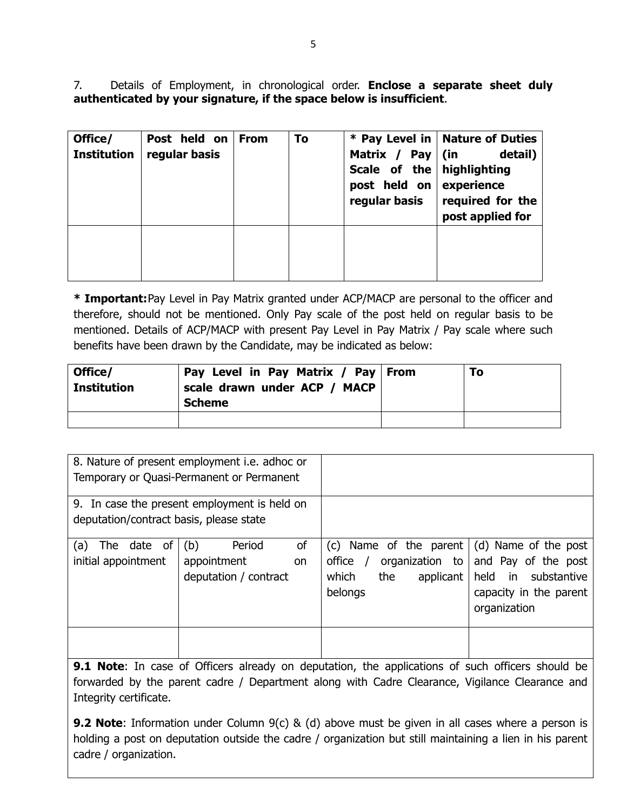7. Details of Employment, in chronological order. **Enclose a separate sheet duly authenticated by your signature, if the space below is insufficient**.

| Office/<br><b>Institution</b> | Post held on<br>regular basis | <b>From</b> | To | Matrix / Pay   (in<br>Scale of the highlighting<br>post held on experience<br>regular basis | * Pay Level in   Nature of Duties<br>detail)<br>required for the<br>post applied for |
|-------------------------------|-------------------------------|-------------|----|---------------------------------------------------------------------------------------------|--------------------------------------------------------------------------------------|
|                               |                               |             |    |                                                                                             |                                                                                      |

**\* Important:**Pay Level in Pay Matrix granted under ACP/MACP are personal to the officer and therefore, should not be mentioned. Only Pay scale of the post held on regular basis to be mentioned. Details of ACP/MACP with present Pay Level in Pay Matrix / Pay scale where such benefits have been drawn by the Candidate, may be indicated as below:

| Office/<br><b>Institution</b> | Pay Level in Pay Matrix / Pay From<br>scale drawn under ACP / MACP<br><b>Scheme</b> | To |
|-------------------------------|-------------------------------------------------------------------------------------|----|
|                               |                                                                                     |    |

|                                           | 8. Nature of present employment i.e. adhoc or<br>Temporary or Quasi-Permanent or Permanent |                                                                                                                               |                                                                                      |
|-------------------------------------------|--------------------------------------------------------------------------------------------|-------------------------------------------------------------------------------------------------------------------------------|--------------------------------------------------------------------------------------|
| deputation/contract basis, please state   | 9. In case the present employment is held on                                               |                                                                                                                               |                                                                                      |
| The date of<br>(a)<br>initial appointment | of<br>(b)<br>Period<br>appointment<br><b>on</b><br>deputation / contract                   | (c) Name of the parent $\mid$ (d) Name of the post<br>office $/$<br>organization to<br>which<br>the<br>applicant  <br>belongs | and Pay of the post<br>held in substantive<br>capacity in the parent<br>organization |
|                                           |                                                                                            |                                                                                                                               |                                                                                      |

**9.1 Note**: In case of Officers already on deputation, the applications of such officers should be forwarded by the parent cadre / Department along with Cadre Clearance, Vigilance Clearance and Integrity certificate.

**9.2 Note**: Information under Column 9(c) & (d) above must be given in all cases where a person is holding a post on deputation outside the cadre / organization but still maintaining a lien in his parent cadre / organization.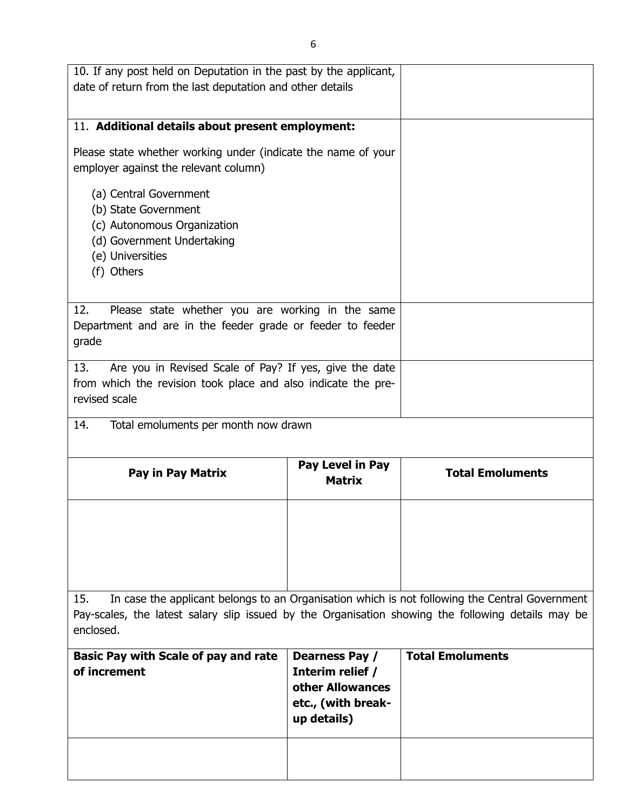| 10. If any post held on Deputation in the past by the applicant,<br>date of return from the last deputation and other details                   |                                                                                             |                                                                                                |
|-------------------------------------------------------------------------------------------------------------------------------------------------|---------------------------------------------------------------------------------------------|------------------------------------------------------------------------------------------------|
|                                                                                                                                                 |                                                                                             |                                                                                                |
| 11. Additional details about present employment:                                                                                                |                                                                                             |                                                                                                |
| Please state whether working under (indicate the name of your<br>employer against the relevant column)                                          |                                                                                             |                                                                                                |
| (a) Central Government<br>(b) State Government<br>(c) Autonomous Organization<br>(d) Government Undertaking<br>(e) Universities<br>(f) Others   |                                                                                             |                                                                                                |
| 12.<br>Please state whether you are working in the same<br>Department and are in the feeder grade or feeder to feeder<br>grade                  |                                                                                             |                                                                                                |
| Are you in Revised Scale of Pay? If yes, give the date<br>13.<br>from which the revision took place and also indicate the pre-<br>revised scale |                                                                                             |                                                                                                |
| Total emoluments per month now drawn<br>14.                                                                                                     |                                                                                             |                                                                                                |
| <b>Pay in Pay Matrix</b>                                                                                                                        | Pay Level in Pay<br><b>Matrix</b>                                                           | <b>Total Emoluments</b>                                                                        |
|                                                                                                                                                 |                                                                                             |                                                                                                |
|                                                                                                                                                 |                                                                                             |                                                                                                |
|                                                                                                                                                 |                                                                                             |                                                                                                |
| 15.<br>Pay-scales, the latest salary slip issued by the Organisation showing the following details may be<br>enclosed.                          |                                                                                             | In case the applicant belongs to an Organisation which is not following the Central Government |
| <b>Basic Pay with Scale of pay and rate</b><br>of increment                                                                                     | Dearness Pay /<br>Interim relief /<br>other Allowances<br>etc., (with break-<br>up details) | <b>Total Emoluments</b>                                                                        |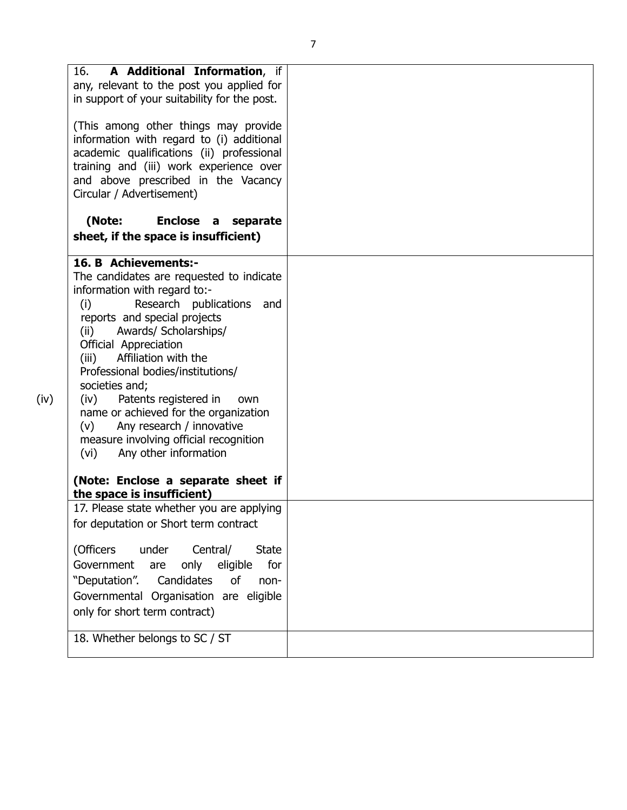|      | A Additional Information, if<br>16.<br>any, relevant to the post you applied for<br>in support of your suitability for the post.                                                                                                                                                                                                                                                                                                                                                                                                                                                           |  |
|------|--------------------------------------------------------------------------------------------------------------------------------------------------------------------------------------------------------------------------------------------------------------------------------------------------------------------------------------------------------------------------------------------------------------------------------------------------------------------------------------------------------------------------------------------------------------------------------------------|--|
|      | (This among other things may provide<br>information with regard to (i) additional<br>academic qualifications (ii) professional<br>training and (iii) work experience over<br>and above prescribed in the Vacancy<br>Circular / Advertisement)                                                                                                                                                                                                                                                                                                                                              |  |
|      | (Note:<br><b>Enclose</b><br>separate<br>$\mathsf{a}$<br>sheet, if the space is insufficient)                                                                                                                                                                                                                                                                                                                                                                                                                                                                                               |  |
| (iv) | 16. B Achievements:-<br>The candidates are requested to indicate<br>information with regard to:-<br>Research publications and<br>(i)<br>reports and special projects<br>Awards/ Scholarships/<br>(ii)<br>Official Appreciation<br>Affiliation with the<br>(iii)<br>Professional bodies/institutions/<br>societies and;<br>(iv)<br>Patents registered in<br>own<br>name or achieved for the organization<br>Any research / innovative<br>(v)<br>measure involving official recognition<br>Any other information<br>(vi)<br>(Note: Enclose a separate sheet if<br>the space is insufficient) |  |
|      | 17. Please state whether you are applying<br>for deputation or Short term contract                                                                                                                                                                                                                                                                                                                                                                                                                                                                                                         |  |
|      | Central/<br>(Officers<br>under<br><b>State</b><br>Government<br>eligible<br>for<br>only<br>are<br>"Deputation".<br>Candidates<br><sub>of</sub><br>non-<br>Governmental Organisation are eligible<br>only for short term contract)                                                                                                                                                                                                                                                                                                                                                          |  |
|      | 18. Whether belongs to SC / ST                                                                                                                                                                                                                                                                                                                                                                                                                                                                                                                                                             |  |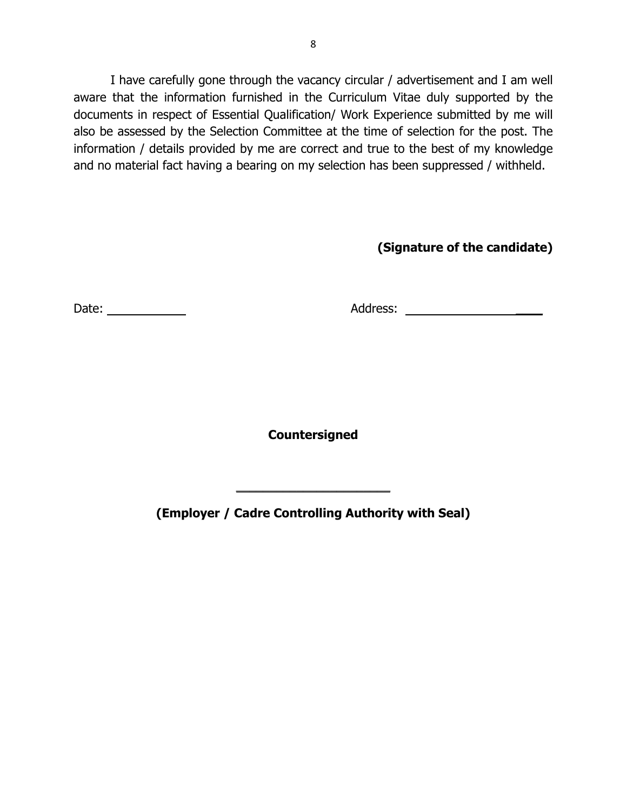I have carefully gone through the vacancy circular / advertisement and I am well aware that the information furnished in the Curriculum Vitae duly supported by the documents in respect of Essential Qualification/ Work Experience submitted by me will also be assessed by the Selection Committee at the time of selection for the post. The information / details provided by me are correct and true to the best of my knowledge and no material fact having a bearing on my selection has been suppressed / withheld.

# **(Signature of the candidate)**

Date: Address: \_\_\_\_

**Countersigned**

**(Employer / Cadre Controlling Authority with Seal)**

 $\overline{\phantom{a}}$  , which is a set of the set of the set of the set of the set of the set of the set of the set of the set of the set of the set of the set of the set of the set of the set of the set of the set of the set of th